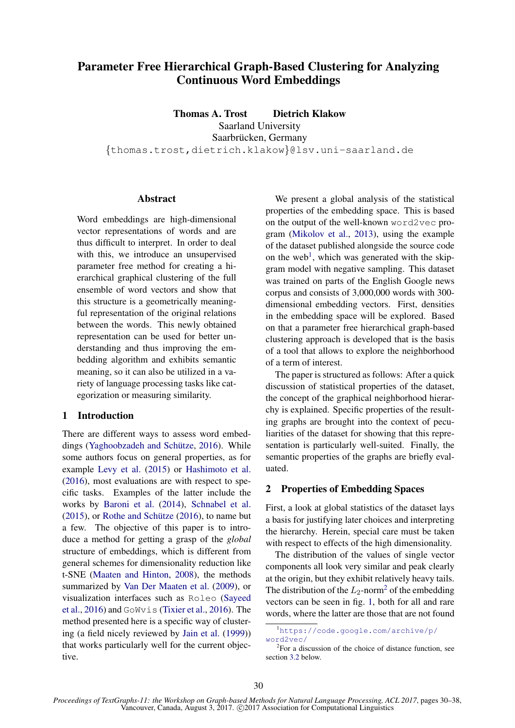# Parameter Free Hierarchical Graph-Based Clustering for Analyzing Continuous Word Embeddings

Thomas A. Trost Dietrich Klakow Saarland University Saarbrücken, Germany {thomas.trost,dietrich.klakow}@lsv.uni-saarland.de

# Abstract

Word embeddings are high-dimensional vector representations of words and are thus difficult to interpret. In order to deal with this, we introduce an unsupervised parameter free method for creating a hierarchical graphical clustering of the full ensemble of word vectors and show that this structure is a geometrically meaningful representation of the original relations between the words. This newly obtained representation can be used for better understanding and thus improving the embedding algorithm and exhibits semantic meaning, so it can also be utilized in a variety of language processing tasks like categorization or measuring similarity.

# 1 Introduction

There are different ways to assess word embeddings (Yaghoobzadeh and Schütze, 2016). While some authors focus on general properties, as for example Levy et al. (2015) or Hashimoto et al. (2016), most evaluations are with respect to specific tasks. Examples of the latter include the works by Baroni et al. (2014), Schnabel et al.  $(2015)$ , or Rothe and Schütze  $(2016)$ , to name but a few. The objective of this paper is to introduce a method for getting a grasp of the *global* structure of embeddings, which is different from general schemes for dimensionality reduction like t-SNE (Maaten and Hinton, 2008), the methods summarized by Van Der Maaten et al. (2009), or visualization interfaces such as Roleo (Sayeed et al., 2016) and GoWvis (Tixier et al., 2016). The method presented here is a specific way of clustering (a field nicely reviewed by Jain et al. (1999)) that works particularly well for the current objective.

We present a global analysis of the statistical properties of the embedding space. This is based on the output of the well-known word2vec program (Mikolov et al., 2013), using the example of the dataset published alongside the source code on the web<sup>1</sup>, which was generated with the skipgram model with negative sampling. This dataset was trained on parts of the English Google news corpus and consists of 3,000,000 words with 300 dimensional embedding vectors. First, densities in the embedding space will be explored. Based on that a parameter free hierarchical graph-based clustering approach is developed that is the basis of a tool that allows to explore the neighborhood of a term of interest.

The paper is structured as follows: After a quick discussion of statistical properties of the dataset, the concept of the graphical neighborhood hierarchy is explained. Specific properties of the resulting graphs are brought into the context of peculiarities of the dataset for showing that this representation is particularly well-suited. Finally, the semantic properties of the graphs are briefly evaluated.

## 2 Properties of Embedding Spaces

First, a look at global statistics of the dataset lays a basis for justifying later choices and interpreting the hierarchy. Herein, special care must be taken with respect to effects of the high dimensionality.

The distribution of the values of single vector components all look very similar and peak clearly at the origin, but they exhibit relatively heavy tails. The distribution of the  $L_2$ -norm<sup>2</sup> of the embedding vectors can be seen in fig. 1, both for all and rare words, where the latter are those that are not found

<sup>1</sup>https://code.google.com/archive/p/ word2vec/

<sup>2</sup> For a discussion of the choice of distance function, see section 3.2 below.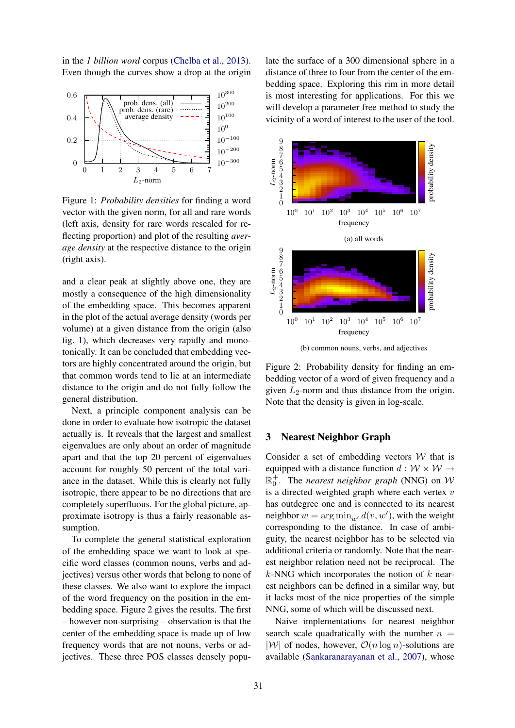in the *1 billion word* corpus (Chelba et al., 2013). Even though the curves show a drop at the origin



Figure 1: *Probability densities* for finding a word vector with the given norm, for all and rare words (left axis, density for rare words rescaled for reflecting proportion) and plot of the resulting *average density* at the respective distance to the origin (right axis).

and a clear peak at slightly above one, they are mostly a consequence of the high dimensionality of the embedding space. This becomes apparent in the plot of the actual average density (words per volume) at a given distance from the origin (also fig. 1), which decreases very rapidly and monotonically. It can be concluded that embedding vectors are highly concentrated around the origin, but that common words tend to lie at an intermediate distance to the origin and do not fully follow the general distribution.

Next, a principle component analysis can be done in order to evaluate how isotropic the dataset actually is. It reveals that the largest and smallest eigenvalues are only about an order of magnitude apart and that the top 20 percent of eigenvalues account for roughly 50 percent of the total variance in the dataset. While this is clearly not fully isotropic, there appear to be no directions that are completely superfluous. For the global picture, approximate isotropy is thus a fairly reasonable assumption.

To complete the general statistical exploration of the embedding space we want to look at specific word classes (common nouns, verbs and adjectives) versus other words that belong to none of these classes. We also want to explore the impact of the word frequency on the position in the embedding space. Figure 2 gives the results. The first – however non-surprising – observation is that the center of the embedding space is made up of low frequency words that are not nouns, verbs or adjectives. These three POS classes densely populate the surface of a 300 dimensional sphere in a distance of three to four from the center of the embedding space. Exploring this rim in more detail is most interesting for applications. For this we will develop a parameter free method to study the vicinity of a word of interest to the user of the tool.



(b) common nouns, verbs, and adjectives

Figure 2: Probability density for finding an embedding vector of a word of given frequency and a given  $L_2$ -norm and thus distance from the origin. Note that the density is given in log-scale.

#### 3 Nearest Neighbor Graph

Consider a set of embedding vectors  $W$  that is equipped with a distance function  $d : \mathcal{W} \times \mathcal{W} \rightarrow$  $\mathbb{R}_0^+$ . The *nearest neighbor graph* (NNG) on  $\mathcal{W}$ is a directed weighted graph where each vertex  $v$ has outdegree one and is connected to its nearest neighbor  $w = \arg \min_{w'} d(v, w')$ , with the weight corresponding to the distance. In case of ambiguity, the nearest neighbor has to be selected via additional criteria or randomly. Note that the nearest neighbor relation need not be reciprocal. The  $k$ -NNG which incorporates the notion of  $k$  nearest neighbors can be defined in a similar way, but it lacks most of the nice properties of the simple NNG, some of which will be discussed next.

Naive implementations for nearest neighbor search scale quadratically with the number  $n =$  $|\mathcal{W}|$  of nodes, however,  $\mathcal{O}(n \log n)$ -solutions are available (Sankaranarayanan et al., 2007), whose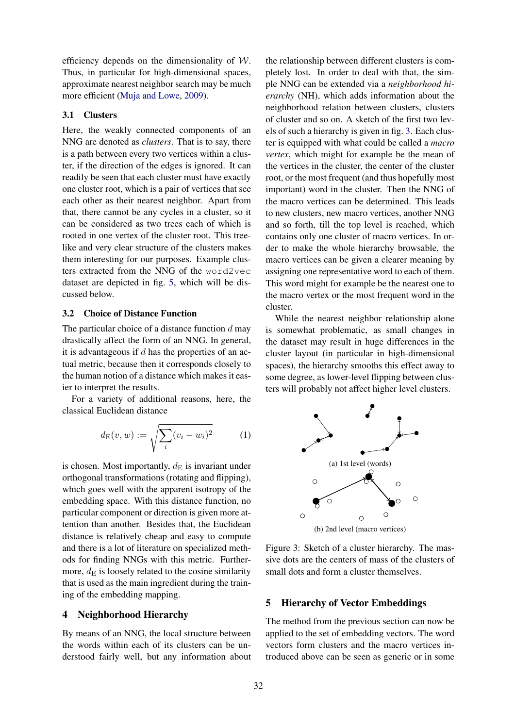efficiency depends on the dimensionality of  $W$ . Thus, in particular for high-dimensional spaces, approximate nearest neighbor search may be much more efficient (Muja and Lowe, 2009).

#### 3.1 Clusters

Here, the weakly connected components of an NNG are denoted as *clusters*. That is to say, there is a path between every two vertices within a cluster, if the direction of the edges is ignored. It can readily be seen that each cluster must have exactly one cluster root, which is a pair of vertices that see each other as their nearest neighbor. Apart from that, there cannot be any cycles in a cluster, so it can be considered as two trees each of which is rooted in one vertex of the cluster root. This treelike and very clear structure of the clusters makes them interesting for our purposes. Example clusters extracted from the NNG of the word2vec dataset are depicted in fig. 5, which will be discussed below.

#### 3.2 Choice of Distance Function

The particular choice of a distance function  $d$  may drastically affect the form of an NNG. In general, it is advantageous if  $d$  has the properties of an actual metric, because then it corresponds closely to the human notion of a distance which makes it easier to interpret the results.

For a variety of additional reasons, here, the classical Euclidean distance

$$
d_{\mathcal{E}}(v, w) := \sqrt{\sum_{i} (v_i - w_i)^2}
$$
 (1)

is chosen. Most importantly,  $d_E$  is invariant under orthogonal transformations (rotating and flipping), which goes well with the apparent isotropy of the embedding space. With this distance function, no particular component or direction is given more attention than another. Besides that, the Euclidean distance is relatively cheap and easy to compute and there is a lot of literature on specialized methods for finding NNGs with this metric. Furthermore,  $d_E$  is loosely related to the cosine similarity that is used as the main ingredient during the training of the embedding mapping.

#### 4 Neighborhood Hierarchy

By means of an NNG, the local structure between the words within each of its clusters can be understood fairly well, but any information about the relationship between different clusters is completely lost. In order to deal with that, the simple NNG can be extended via a *neighborhood hierarchy* (NH), which adds information about the neighborhood relation between clusters, clusters of cluster and so on. A sketch of the first two levels of such a hierarchy is given in fig. 3. Each cluster is equipped with what could be called a *macro vertex*, which might for example be the mean of the vertices in the cluster, the center of the cluster root, or the most frequent (and thus hopefully most important) word in the cluster. Then the NNG of the macro vertices can be determined. This leads to new clusters, new macro vertices, another NNG and so forth, till the top level is reached, which contains only one cluster of macro vertices. In order to make the whole hierarchy browsable, the macro vertices can be given a clearer meaning by assigning one representative word to each of them. This word might for example be the nearest one to the macro vertex or the most frequent word in the cluster.

While the nearest neighbor relationship alone is somewhat problematic, as small changes in the dataset may result in huge differences in the cluster layout (in particular in high-dimensional spaces), the hierarchy smooths this effect away to some degree, as lower-level flipping between clusters will probably not affect higher level clusters.



Figure 3: Sketch of a cluster hierarchy. The massive dots are the centers of mass of the clusters of small dots and form a cluster themselves.

# 5 Hierarchy of Vector Embeddings

The method from the previous section can now be applied to the set of embedding vectors. The word vectors form clusters and the macro vertices introduced above can be seen as generic or in some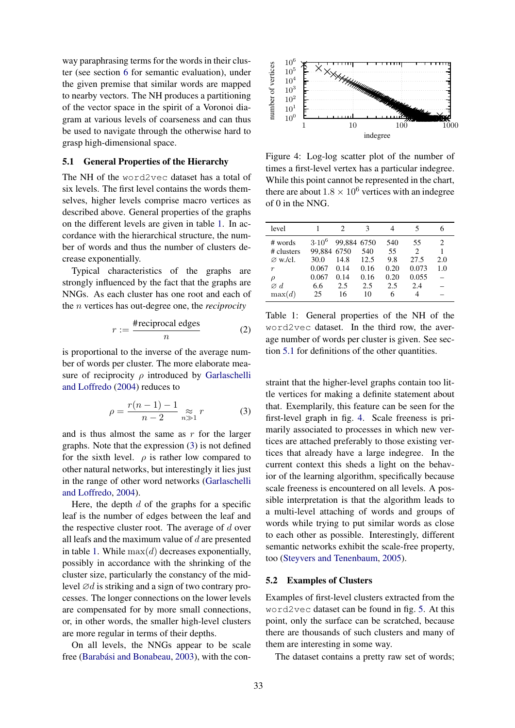way paraphrasing terms for the words in their cluster (see section 6 for semantic evaluation), under the given premise that similar words are mapped to nearby vectors. The NH produces a partitioning of the vector space in the spirit of a Voronoi diagram at various levels of coarseness and can thus be used to navigate through the otherwise hard to grasp high-dimensional space.

### 5.1 General Properties of the Hierarchy

The NH of the word2vec dataset has a total of six levels. The first level contains the words themselves, higher levels comprise macro vertices as described above. General properties of the graphs on the different levels are given in table 1. In accordance with the hierarchical structure, the number of words and thus the number of clusters decrease exponentially.

Typical characteristics of the graphs are strongly influenced by the fact that the graphs are NNGs. As each cluster has one root and each of the n vertices has out-degree one, the *reciprocity*

$$
r := \frac{\text{#reciprocal edges}}{n} \tag{2}
$$

is proportional to the inverse of the average number of words per cluster. The more elaborate measure of reciprocity  $\rho$  introduced by Garlaschelli and Loffredo (2004) reduces to

$$
\rho = \frac{r(n-1) - 1}{n-2} \underset{n \gg 1}{\approx} r \tag{3}
$$

and is thus almost the same as  $r$  for the larger graphs. Note that the expression (3) is not defined for the sixth level.  $\rho$  is rather low compared to other natural networks, but interestingly it lies just in the range of other word networks (Garlaschelli and Loffredo, 2004).

Here, the depth  $d$  of the graphs for a specific leaf is the number of edges between the leaf and the respective cluster root. The average of  $d$  over all leafs and the maximum value of  $d$  are presented in table 1. While  $max(d)$  decreases exponentially, possibly in accordance with the shrinking of the cluster size, particularly the constancy of the midlevel  $\varnothing d$  is striking and a sign of two contrary processes. The longer connections on the lower levels are compensated for by more small connections, or, in other words, the smaller high-level clusters are more regular in terms of their depths.

On all levels, the NNGs appear to be scale free (Barabási and Bonabeau, 2003), with the con-



Figure 4: Log-log scatter plot of the number of times a first-level vertex has a particular indegree. While this point cannot be represented in the chart, there are about  $1.8 \times 10^6$  vertices with an indegree of 0 in the NNG.

| level                 |                           | 2           | 3    | 4         | 5       |     |
|-----------------------|---------------------------|-------------|------|-----------|---------|-----|
| # words<br># clusters | $3.10^{6}$<br>99.884 6750 | 99,884 6750 | 540  | 540<br>55 | 55<br>2 | 2   |
| $\varnothing$ w./cl.  | 30.0                      | 14.8        | 12.5 | 9.8       | 27.5    | 2.0 |
| $\boldsymbol{r}$      | 0.067                     | 0.14        | 0.16 | 0.20      | 0.073   | 1.0 |
| $\rho$                | 0.067                     | 0.14        | 0.16 | 0.20      | 0.055   |     |
| $\varnothing$ d       | 6.6                       | 2.5         | 2.5  | 2.5       | 2.4     |     |
| max(d)                | 25                        | 16          | 10   | 6         | 4       |     |

Table 1: General properties of the NH of the word2vec dataset. In the third row, the average number of words per cluster is given. See section 5.1 for definitions of the other quantities.

straint that the higher-level graphs contain too little vertices for making a definite statement about that. Exemplarily, this feature can be seen for the first-level graph in fig. 4. Scale freeness is primarily associated to processes in which new vertices are attached preferably to those existing vertices that already have a large indegree. In the current context this sheds a light on the behavior of the learning algorithm, specifically because scale freeness is encountered on all levels. A possible interpretation is that the algorithm leads to a multi-level attaching of words and groups of words while trying to put similar words as close to each other as possible. Interestingly, different semantic networks exhibit the scale-free property, too (Steyvers and Tenenbaum, 2005).

# 5.2 Examples of Clusters

Examples of first-level clusters extracted from the word2vec dataset can be found in fig. 5. At this point, only the surface can be scratched, because there are thousands of such clusters and many of them are interesting in some way.

The dataset contains a pretty raw set of words;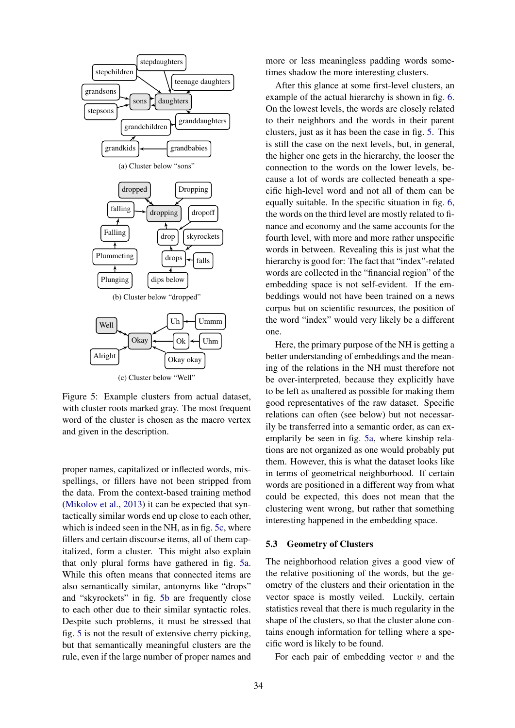

Figure 5: Example clusters from actual dataset, with cluster roots marked gray. The most frequent word of the cluster is chosen as the macro vertex and given in the description.

proper names, capitalized or inflected words, misspellings, or fillers have not been stripped from the data. From the context-based training method (Mikolov et al., 2013) it can be expected that syntactically similar words end up close to each other, which is indeed seen in the NH, as in fig. 5c, where fillers and certain discourse items, all of them capitalized, form a cluster. This might also explain that only plural forms have gathered in fig. 5a. While this often means that connected items are also semantically similar, antonyms like "drops" and "skyrockets" in fig. 5b are frequently close to each other due to their similar syntactic roles. Despite such problems, it must be stressed that fig. 5 is not the result of extensive cherry picking, but that semantically meaningful clusters are the rule, even if the large number of proper names and more or less meaningless padding words sometimes shadow the more interesting clusters.

After this glance at some first-level clusters, an example of the actual hierarchy is shown in fig. 6. On the lowest levels, the words are closely related to their neighbors and the words in their parent clusters, just as it has been the case in fig. 5. This is still the case on the next levels, but, in general, the higher one gets in the hierarchy, the looser the connection to the words on the lower levels, because a lot of words are collected beneath a specific high-level word and not all of them can be equally suitable. In the specific situation in fig. 6, the words on the third level are mostly related to finance and economy and the same accounts for the fourth level, with more and more rather unspecific words in between. Revealing this is just what the hierarchy is good for: The fact that "index"-related words are collected in the "financial region" of the embedding space is not self-evident. If the embeddings would not have been trained on a news corpus but on scientific resources, the position of the word "index" would very likely be a different one.

Here, the primary purpose of the NH is getting a better understanding of embeddings and the meaning of the relations in the NH must therefore not be over-interpreted, because they explicitly have to be left as unaltered as possible for making them good representatives of the raw dataset. Specific relations can often (see below) but not necessarily be transferred into a semantic order, as can exemplarily be seen in fig. 5a, where kinship relations are not organized as one would probably put them. However, this is what the dataset looks like in terms of geometrical neighborhood. If certain words are positioned in a different way from what could be expected, this does not mean that the clustering went wrong, but rather that something interesting happened in the embedding space.

#### 5.3 Geometry of Clusters

The neighborhood relation gives a good view of the relative positioning of the words, but the geometry of the clusters and their orientation in the vector space is mostly veiled. Luckily, certain statistics reveal that there is much regularity in the shape of the clusters, so that the cluster alone contains enough information for telling where a specific word is likely to be found.

For each pair of embedding vector  $v$  and the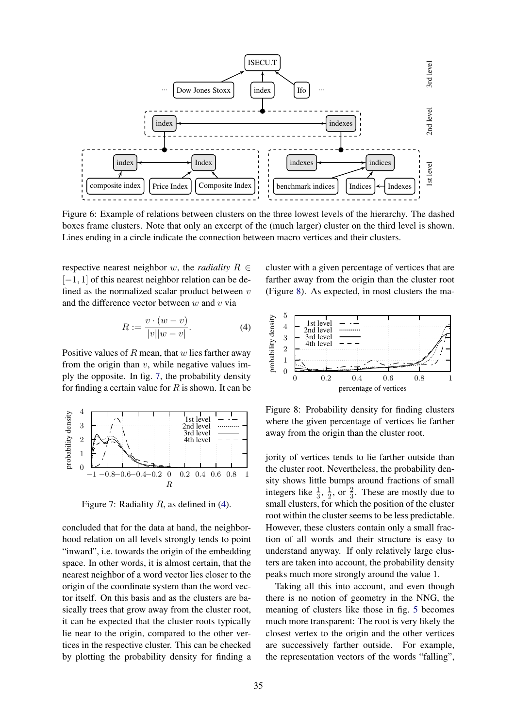

Figure 6: Example of relations between clusters on the three lowest levels of the hierarchy. The dashed boxes frame clusters. Note that only an excerpt of the (much larger) cluster on the third level is shown. Lines ending in a circle indicate the connection between macro vertices and their clusters.

respective nearest neighbor w, the *radiality*  $R \in$  $[-1, 1]$  of this nearest neighbor relation can be defined as the normalized scalar product between  $v$ and the difference vector between  $w$  and  $v$  via

$$
R := \frac{v \cdot (w - v)}{|v||w - v|}.
$$
\n(4)

Positive values of  $R$  mean, that  $w$  lies farther away from the origin than  $v$ , while negative values imply the opposite. In fig. 7, the probability density for finding a certain value for  $R$  is shown. It can be



Figure 7: Radiality  $R$ , as defined in (4).

concluded that for the data at hand, the neighborhood relation on all levels strongly tends to point "inward", i.e. towards the origin of the embedding space. In other words, it is almost certain, that the nearest neighbor of a word vector lies closer to the origin of the coordinate system than the word vector itself. On this basis and as the clusters are basically trees that grow away from the cluster root, it can be expected that the cluster roots typically lie near to the origin, compared to the other vertices in the respective cluster. This can be checked by plotting the probability density for finding a cluster with a given percentage of vertices that are farther away from the origin than the cluster root (Figure 8). As expected, in most clusters the ma-



Figure 8: Probability density for finding clusters where the given percentage of vertices lie farther away from the origin than the cluster root.

jority of vertices tends to lie farther outside than the cluster root. Nevertheless, the probability density shows little bumps around fractions of small integers like  $\frac{1}{3}$ ,  $\frac{1}{2}$  $\frac{1}{2}$ , or  $\frac{2}{3}$ . These are mostly due to small clusters, for which the position of the cluster root within the cluster seems to be less predictable. However, these clusters contain only a small fraction of all words and their structure is easy to understand anyway. If only relatively large clusters are taken into account, the probability density peaks much more strongly around the value 1.

Taking all this into account, and even though there is no notion of geometry in the NNG, the meaning of clusters like those in fig. 5 becomes much more transparent: The root is very likely the closest vertex to the origin and the other vertices are successively farther outside. For example, the representation vectors of the words "falling",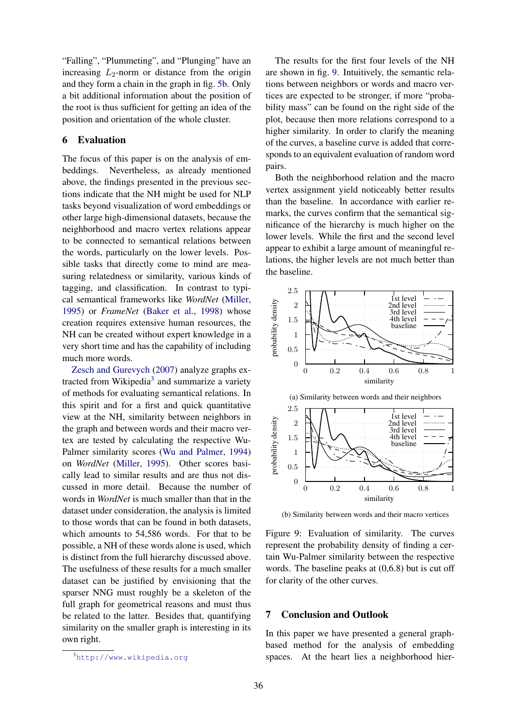"Falling", "Plummeting", and "Plunging" have an increasing  $L_2$ -norm or distance from the origin and they form a chain in the graph in fig. 5b. Only a bit additional information about the position of the root is thus sufficient for getting an idea of the position and orientation of the whole cluster.

## 6 Evaluation

The focus of this paper is on the analysis of embeddings. Nevertheless, as already mentioned above, the findings presented in the previous sections indicate that the NH might be used for NLP tasks beyond visualization of word embeddings or other large high-dimensional datasets, because the neighborhood and macro vertex relations appear to be connected to semantical relations between the words, particularly on the lower levels. Possible tasks that directly come to mind are measuring relatedness or similarity, various kinds of tagging, and classification. In contrast to typical semantical frameworks like *WordNet* (Miller, 1995) or *FrameNet* (Baker et al., 1998) whose creation requires extensive human resources, the NH can be created without expert knowledge in a very short time and has the capability of including much more words.

Zesch and Gurevych (2007) analyze graphs extracted from Wikipedia<sup>3</sup> and summarize a variety of methods for evaluating semantical relations. In this spirit and for a first and quick quantitative view at the NH, similarity between neighbors in the graph and between words and their macro vertex are tested by calculating the respective Wu-Palmer similarity scores (Wu and Palmer, 1994) on *WordNet* (Miller, 1995). Other scores basically lead to similar results and are thus not discussed in more detail. Because the number of words in *WordNet* is much smaller than that in the dataset under consideration, the analysis is limited to those words that can be found in both datasets, which amounts to 54,586 words. For that to be possible, a NH of these words alone is used, which is distinct from the full hierarchy discussed above. The usefulness of these results for a much smaller dataset can be justified by envisioning that the sparser NNG must roughly be a skeleton of the full graph for geometrical reasons and must thus be related to the latter. Besides that, quantifying similarity on the smaller graph is interesting in its own right.

The results for the first four levels of the NH are shown in fig. 9. Intuitively, the semantic relations between neighbors or words and macro vertices are expected to be stronger, if more "probability mass" can be found on the right side of the plot, because then more relations correspond to a higher similarity. In order to clarify the meaning of the curves, a baseline curve is added that corresponds to an equivalent evaluation of random word pairs.

Both the neighborhood relation and the macro vertex assignment yield noticeably better results than the baseline. In accordance with earlier remarks, the curves confirm that the semantical significance of the hierarchy is much higher on the lower levels. While the first and the second level appear to exhibit a large amount of meaningful relations, the higher levels are not much better than the baseline.



(b) Similarity between words and their macro vertices

# 7 Conclusion and Outlook

In this paper we have presented a general graphbased method for the analysis of embedding spaces. At the heart lies a neighborhood hier-

<sup>3</sup>http://www.wikipedia.org

Figure 9: Evaluation of similarity. The curves represent the probability density of finding a certain Wu-Palmer similarity between the respective words. The baseline peaks at (0,6.8) but is cut off for clarity of the other curves.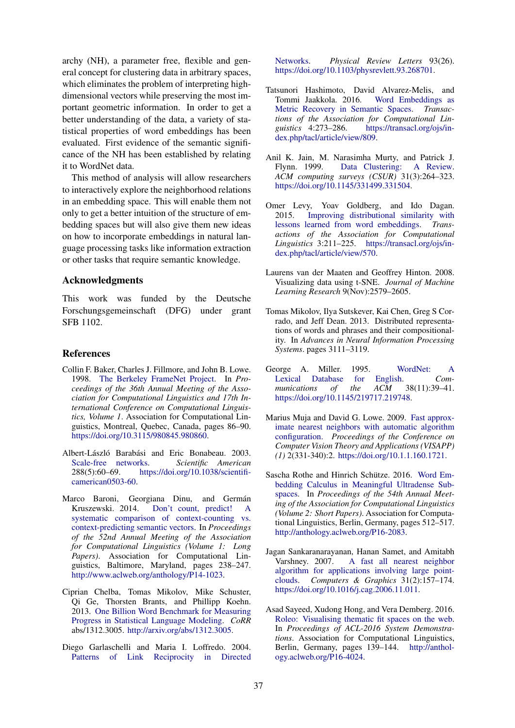archy (NH), a parameter free, flexible and general concept for clustering data in arbitrary spaces, which eliminates the problem of interpreting highdimensional vectors while preserving the most important geometric information. In order to get a better understanding of the data, a variety of statistical properties of word embeddings has been evaluated. First evidence of the semantic significance of the NH has been established by relating it to WordNet data.

This method of analysis will allow researchers to interactively explore the neighborhood relations in an embedding space. This will enable them not only to get a better intuition of the structure of embedding spaces but will also give them new ideas on how to incorporate embeddings in natural language processing tasks like information extraction or other tasks that require semantic knowledge.

### Acknowledgments

This work was funded by the Deutsche Forschungsgemeinschaft (DFG) under grant SFB 1102.

### References

- Collin F. Baker, Charles J. Fillmore, and John B. Lowe. 1998. The Berkeley FrameNet Project. In *Proceedings of the 36th Annual Meeting of the Association for Computational Linguistics and 17th International Conference on Computational Linguistics, Volume 1*. Association for Computational Linguistics, Montreal, Quebec, Canada, pages 86–90. https://doi.org/10.3115/980845.980860.
- Albert-László Barabási and Eric Bonabeau. 2003. Scale-free networks. *Scientific American* 288(5):60–69. https://doi.org/10.1038/scientificamerican0503-60.
- Marco Baroni, Georgiana Dinu, and Germán Kruszewski. 2014. Don't count, predict! A systematic comparison of context-counting vs. context-predicting semantic vectors. In *Proceedings of the 52nd Annual Meeting of the Association for Computational Linguistics (Volume 1: Long Papers)*. Association for Computational Linguistics, Baltimore, Maryland, pages 238–247. http://www.aclweb.org/anthology/P14-1023.
- Ciprian Chelba, Tomas Mikolov, Mike Schuster, Qi Ge, Thorsten Brants, and Phillipp Koehn. 2013. One Billion Word Benchmark for Measuring Progress in Statistical Language Modeling. *CoRR* abs/1312.3005. http://arxiv.org/abs/1312.3005.
- Diego Garlaschelli and Maria I. Loffredo. 2004. Patterns of Link Reciprocity in Directed

Networks. *Physical Review Letters* 93(26). https://doi.org/10.1103/physrevlett.93.268701.

- Tatsunori Hashimoto, David Alvarez-Melis, and Tommi Jaakkola. 2016. Metric Recovery in Semantic Spaces. *Transactions of the Association for Computational Linguistics* 4:273–286. https://transacl.org/ojs/index.php/tacl/article/view/809.
- Anil K. Jain, M. Narasimha Murty, and Patrick J. Flynn. 1999. Data Clustering: A Review. *ACM computing surveys (CSUR)* 31(3):264–323. https://doi.org/10.1145/331499.331504.
- Omer Levy, Yoav Goldberg, and Ido Dagan. 2015. Improving distributional similarity with lessons learned from word embeddings. *Transactions of the Association for Computational Linguistics* 3:211–225. https://transacl.org/ojs/index.php/tacl/article/view/570.
- Laurens van der Maaten and Geoffrey Hinton. 2008. Visualizing data using t-SNE. *Journal of Machine Learning Research* 9(Nov):2579–2605.
- Tomas Mikolov, Ilya Sutskever, Kai Chen, Greg S Corrado, and Jeff Dean. 2013. Distributed representations of words and phrases and their compositionality. In *Advances in Neural Information Processing Systems*. pages 3111–3119.
- George A. Miller. 1995. WordNet: A Lexical Database for English. *Communications of the ACM* 38(11):39–41. https://doi.org/10.1145/219717.219748.
- Marius Muja and David G. Lowe. 2009. Fast approximate nearest neighbors with automatic algorithm configuration. *Proceedings of the Conference on Computer Vision Theory and Applications (VISAPP) (1)* 2(331-340):2. https://doi.org/10.1.1.160.1721.
- Sascha Rothe and Hinrich Schütze. 2016. Word Embedding Calculus in Meaningful Ultradense Subspaces. In *Proceedings of the 54th Annual Meeting of the Association for Computational Linguistics (Volume 2: Short Papers)*. Association for Computational Linguistics, Berlin, Germany, pages 512–517. http://anthology.aclweb.org/P16-2083.
- Jagan Sankaranarayanan, Hanan Samet, and Amitabh Varshney. 2007. A fast all nearest neighbor algorithm for applications involving large pointclouds. *Computers & Graphics* 31(2):157–174. https://doi.org/10.1016/j.cag.2006.11.011.
- Asad Sayeed, Xudong Hong, and Vera Demberg. 2016. Roleo: Visualising thematic fit spaces on the web. In *Proceedings of ACL-2016 System Demonstrations*. Association for Computational Linguistics, Berlin, Germany, pages 139–144. http://anthology.aclweb.org/P16-4024.